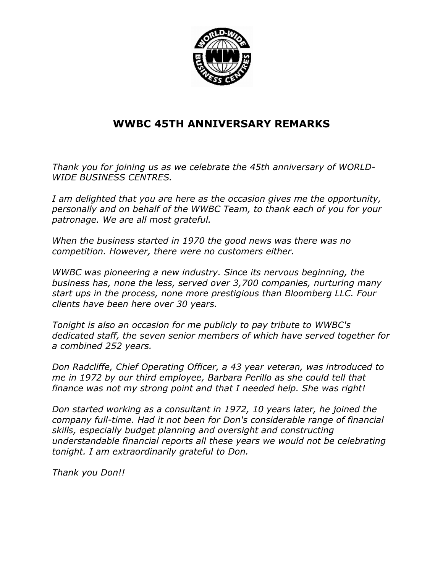

## WWBC 45TH ANNIVERSARY REMARKS

Thank you for joining us as we celebrate the 45th anniversary of WORLD-WIDE BUSINESS CENTRES.

I am delighted that you are here as the occasion gives me the opportunity, personally and on behalf of the WWBC Team, to thank each of you for your patronage. We are all most grateful.

When the business started in 1970 the good news was there was no competition. However, there were no customers either.

WWBC was pioneering a new industry. Since its nervous beginning, the business has, none the less, served over 3,700 companies, nurturing many start ups in the process, none more prestigious than Bloomberg LLC. Four clients have been here over 30 years.

Tonight is also an occasion for me publicly to pay tribute to WWBC's dedicated staff, the seven senior members of which have served together for a combined 252 years.

Don Radcliffe, Chief Operating Officer, a 43 year veteran, was introduced to me in 1972 by our third employee, Barbara Perillo as she could tell that finance was not my strong point and that I needed help. She was right!

Don started working as a consultant in 1972, 10 years later, he joined the company full-time. Had it not been for Don's considerable range of financial skills, especially budget planning and oversight and constructing understandable financial reports all these years we would not be celebrating tonight. I am extraordinarily grateful to Don.

Thank you Don!!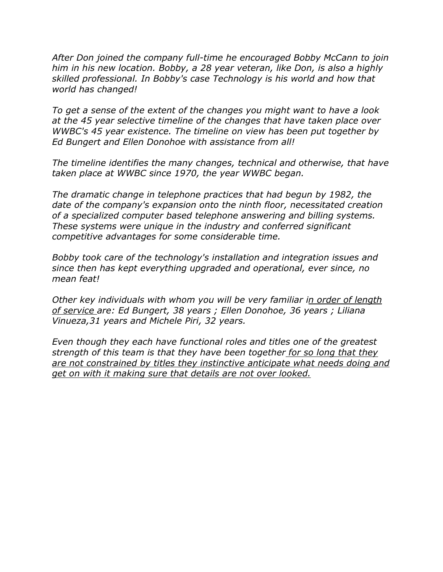After Don joined the company full-time he encouraged Bobby McCann to join him in his new location. Bobby, a 28 year veteran, like Don, is also a highly skilled professional. In Bobby's case Technology is his world and how that world has changed!

To get a sense of the extent of the changes you might want to have a look at the 45 year selective timeline of the changes that have taken place over WWBC's 45 year existence. The timeline on view has been put together by Ed Bungert and Ellen Donohoe with assistance from all!

The timeline identifies the many changes, technical and otherwise, that have taken place at WWBC since 1970, the year WWBC began.

The dramatic change in telephone practices that had begun by 1982, the date of the company's expansion onto the ninth floor, necessitated creation of a specialized computer based telephone answering and billing systems. These systems were unique in the industry and conferred significant competitive advantages for some considerable time.

Bobby took care of the technology's installation and integration issues and since then has kept everything upgraded and operational, ever since, no mean feat!

Other key individuals with whom you will be very familiar in order of length of service are: Ed Bungert, 38 years ; Ellen Donohoe, 36 years ; Liliana Vinueza,31 years and Michele Piri, 32 years.

Even though they each have functional roles and titles one of the greatest strength of this team is that they have been together for so long that they are not constrained by titles they instinctive anticipate what needs doing and get on with it making sure that details are not over looked.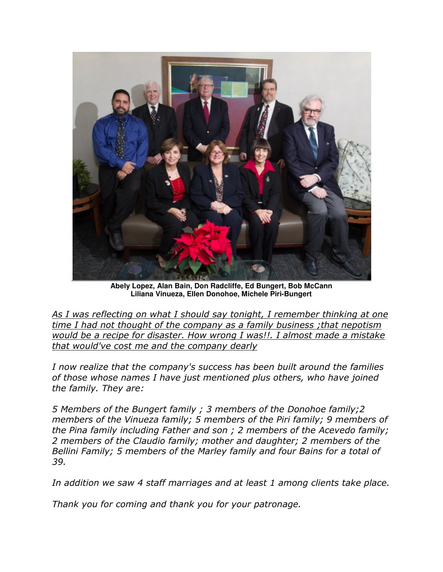

**Abely Lopez, Alan Bain, Don Radcliffe, Ed Bungert, Bob McCann Liliana Vinueza, Ellen Donohoe, Michele Piri-Bungert** 

As I was reflecting on what I should say tonight, I remember thinking at one time I had not thought of the company as a family business ;that nepotism would be a recipe for disaster. How wrong I was!!. I almost made a mistake that would've cost me and the company dearly

I now realize that the company's success has been built around the families of those whose names I have just mentioned plus others, who have joined the family. They are:

5 Members of the Bungert family ; 3 members of the Donohoe family;2 members of the Vinueza family; 5 members of the Piri family; 9 members of the Pina family including Father and son ; 2 members of the Acevedo family; 2 members of the Claudio family; mother and daughter; 2 members of the Bellini Family; 5 members of the Marley family and four Bains for a total of 39.

In addition we saw 4 staff marriages and at least 1 among clients take place.

Thank you for coming and thank you for your patronage.